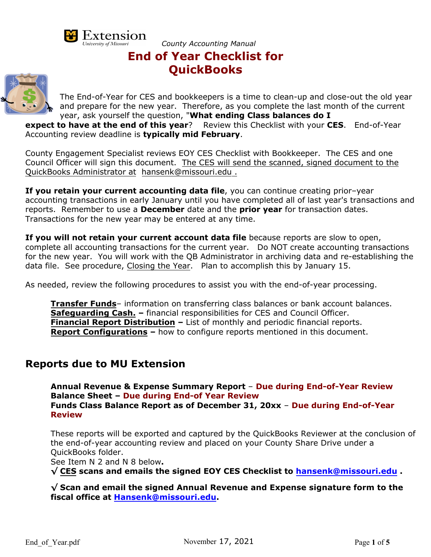

*County Accounting Manual* **End of Year Checklist for**

# **QuickBooks**



The End-of-Year for CES and bookkeepers is a time to clean-up and close-out the old year and prepare for the new year. Therefore, as you complete the last month of the current year, ask yourself the question, "**What ending Class balances do I** 

**expect to have at the end of this year**? Review this Checklist with your CES. End-of-Year Accounting review deadline is **typically mid February**.

County Engagement Specialist reviews EOY CES Checklist with Bookkeeper. The CES and one Council Officer will sign this document. The CES will send the scanned, signed document to the QuickBooks Administrator at hansenk@missouri.edu .

**If you retain your current accounting data file**, you can continue creating prior–year accounting transactions in early January until you have completed all of last year's transactions and reports. Remember to use a **December** date and the **prior year** for transaction dates. Transactions for the new year may be entered at any time.

**If you will not retain your current account data file** because reports are slow to open, complete all accounting transactions for the current year. Do NOT create accounting transactions for the new year. You will work with the QB Administrator in archiving data and re-establishing the data file. See procedure, Closing the Year. Plan to accomplish this by January 15.

As needed, review the following procedures to assist you with the end-of-year processing.

**Transfer Funds**– information on transferring class balances or bank account balances. **Safeguarding Cash. –** financial responsibilities for CES and Council Officer. **Financial Report Distribution –** List of monthly and periodic financial reports. **Report Configurations –** how to configure reports mentioned in this document.

## **Reports due to MU Extension**

**Annual Revenue & Expense Summary Report** – **Due during End-of-Year Review Balance Sheet – Due during End-of Year Review Funds Class Balance Report as of December 31, 20xx** – **Due during End-of-Year Review** 

These reports will be exported and captured by the QuickBooks Reviewer at the conclusion of the end-of-year accounting review and placed on your County Share Drive under a QuickBooks folder.

See Item N 2 and N 8 below**.** 

**√ CES scans and emails the signed EOY CES Checklist to hansenk@missouri.edu .**

**√ Scan and email the signed Annual Revenue and Expense signature form to the fiscal office at Hansenk@missouri.edu.**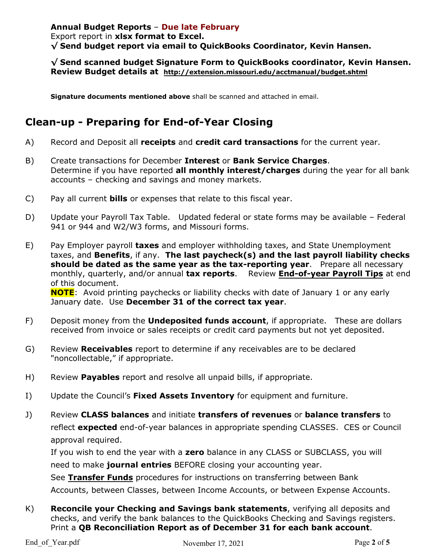#### **Annual Budget Reports** – **Due late February** Export report in **xlsx format to Excel. √ Send budget report via email to QuickBooks Coordinator, Kevin Hansen.**

#### **√ Send scanned budget Signature Form to QuickBooks coordinator, Kevin Hansen. Review Budget details at http://extension.missouri.edu/acctmanual/budget.shtml**

**Signature documents mentioned above** shall be scanned and attached in email.

## **Clean-up - Preparing for End-of-Year Closing**

- A) Record and Deposit all **receipts** and **credit card transactions** for the current year.
- B) Create transactions for December **Interest** or **Bank Service Charges**. Determine if you have reported **all monthly interest/charges** during the year for all bank accounts – checking and savings and money markets.
- C) Pay all current **bills** or expenses that relate to this fiscal year.
- D) Update your Payroll Tax Table. Updated federal or state forms may be available Federal 941 or 944 and W2/W3 forms, and Missouri forms.
- E) Pay Employer payroll **taxes** and employer withholding taxes, and State Unemployment taxes, and **Benefits**, if any. **The last paycheck(s) and the last payroll liability checks should be dated as the same year as the tax-reporting year**. Prepare all necessary monthly, quarterly, and/or annual **tax reports**. Review **End-of-year Payroll Tips** at end of this document.

**NOTE**: Avoid printing paychecks or liability checks with date of January 1 or any early January date. Use **December 31 of the correct tax year**.

- F) Deposit money from the **Undeposited funds account**, if appropriate. These are dollars received from invoice or sales receipts or credit card payments but not yet deposited.
- G) Review **Receivables** report to determine if any receivables are to be declared "noncollectable," if appropriate.
- H) Review **Payables** report and resolve all unpaid bills, if appropriate.
- I) Update the Council's **Fixed Assets Inventory** for equipment and furniture.
- J) Review **CLASS balances** and initiate **transfers of revenues** or **balance transfers** to reflect **expected** end-of-year balances in appropriate spending CLASSES. CES or Council approval required.

If you wish to end the year with a **zero** balance in any CLASS or SUBCLASS, you will need to make **journal entries** BEFORE closing your accounting year.

See **Transfer Funds** procedures for instructions on transferring between Bank Accounts, between Classes, between Income Accounts, or between Expense Accounts.

K) **Reconcile your Checking and Savings bank statements**, verifying all deposits and checks, and verify the bank balances to the QuickBooks Checking and Savings registers. Print a **QB Reconciliation Report as of December 31 for each bank account**.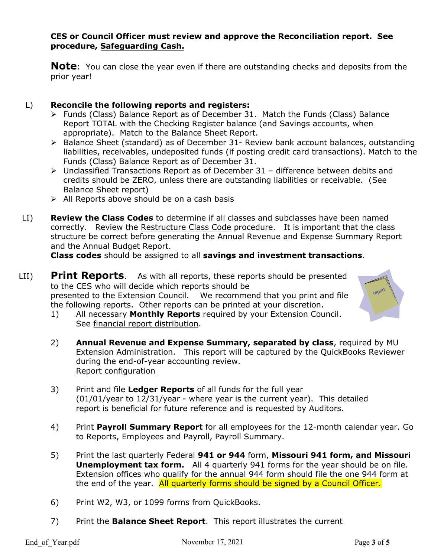#### **CES or Council Officer must review and approve the Reconciliation report. See procedure, Safeguarding Cash.**

**Note**: You can close the year even if there are outstanding checks and deposits from the prior year!

#### L) **Reconcile the following reports and registers:**

- $\triangleright$  Funds (Class) Balance Report as of December 31. Match the Funds (Class) Balance Report TOTAL with the Checking Register balance (and Savings accounts, when appropriate). Match to the Balance Sheet Report.
- ▶ Balance Sheet (standard) as of December 31- Review bank account balances, outstanding liabilities, receivables, undeposited funds (if posting credit card transactions). Match to the Funds (Class) Balance Report as of December 31.
- Unclassified Transactions Report as of December 31 difference between debits and credits should be ZERO, unless there are outstanding liabilities or receivable. (See Balance Sheet report)
- $\triangleright$  All Reports above should be on a cash basis
- LI) **Review the Class Codes** to determine if all classes and subclasses have been named correctly. Review the Restructure Class Code procedure. It is important that the class structure be correct before generating the Annual Revenue and Expense Summary Report and the Annual Budget Report.

**Class codes** should be assigned to all **savings and investment transactions**.

- LII) **Print Reports**. As with all reports, these reports should be presented to the CES who will decide which reports should be presented to the Extension Council. We recommend that you print and file the following reports. Other reports can be printed at your discretion.
	- 1) All necessary **Monthly Reports** required by your Extension Council. See financial report distribution.
	- 2) **Annual Revenue and Expense Summary, separated by class**, required by MU Extension Administration. This report will be captured by the QuickBooks Reviewer during the end-of-year accounting review. Report configuration
	- 3) Print and file **Ledger Reports** of all funds for the full year (01/01/year to 12/31/year - where year is the current year). This detailed report is beneficial for future reference and is requested by Auditors.
	- 4) Print **Payroll Summary Report** for all employees for the 12-month calendar year. Go to Reports, Employees and Payroll, Payroll Summary.
	- 5) Print the last quarterly Federal **941 or 944** form, **Missouri 941 form, and Missouri Unemployment tax form.** All 4 quarterly 941 forms for the year should be on file. Extension offices who qualify for the annual 944 form should file the one 944 form at the end of the year. All quarterly forms should be signed by a Council Officer.
	- 6) Print W2, W3, or 1099 forms from QuickBooks.
	- 7) Print the **Balance Sheet Report**. This report illustrates the current

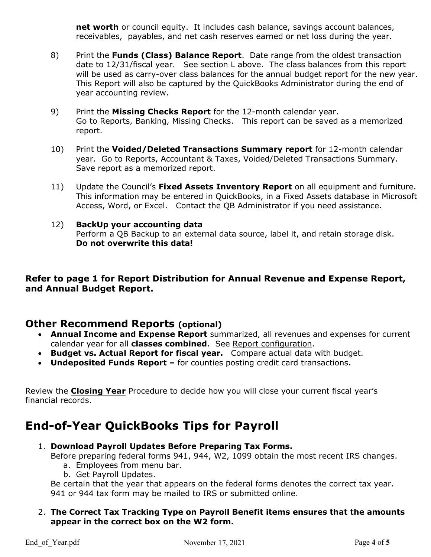**net worth** or council equity. It includes cash balance, savings account balances, receivables, payables, and net cash reserves earned or net loss during the year.

- 8) Print the **Funds (Class) Balance Report**. Date range from the oldest transaction date to 12/31/fiscal year. See section L above. The class balances from this report will be used as carry-over class balances for the annual budget report for the new year. This Report will also be captured by the QuickBooks Administrator during the end of year accounting review.
- 9) Print the **Missing Checks Report** for the 12-month calendar year. Go to Reports, Banking, Missing Checks. This report can be saved as a memorized report.
- 10) Print the **Voided/Deleted Transactions Summary report** for 12-month calendar year. Go to Reports, Accountant & Taxes, Voided/Deleted Transactions Summary. Save report as a memorized report.
- 11) Update the Council's **Fixed Assets Inventory Report** on all equipment and furniture. This information may be entered in QuickBooks, in a Fixed Assets database in Microsoft Access, Word, or Excel. Contact the QB Administrator if you need assistance.

#### 12) **BackUp your accounting data** Perform a QB Backup to an external data source, label it, and retain storage disk. **Do not overwrite this data!**

#### **Refer to page 1 for Report Distribution for Annual Revenue and Expense Report, and Annual Budget Report.**

## **Other Recommend Reports (optional)**

- **Annual Income and Expense Report** summarized, all revenues and expenses for current calendar year for all **classes combined**. See Report configuration.
- **Budget vs. Actual Report for fiscal year.** Compare actual data with budget.
- **Undeposited Funds Report** for counties posting credit card transactions**.**

Review the **Closing Year** Procedure to decide how you will close your current fiscal year's financial records.

# **End-of-Year QuickBooks Tips for Payroll**

1. **Download Payroll Updates Before Preparing Tax Forms.**

Before preparing federal forms 941, 944, W2, 1099 obtain the most recent IRS changes.

- a. Employees from menu bar.
- b. Get Payroll Updates.

Be certain that the year that appears on the federal forms denotes the correct tax year. 941 or 944 tax form may be mailed to IRS or submitted online.

#### 2. **The Correct Tax Tracking Type on Payroll Benefit items ensures that the amounts appear in the correct box on the W2 form.**